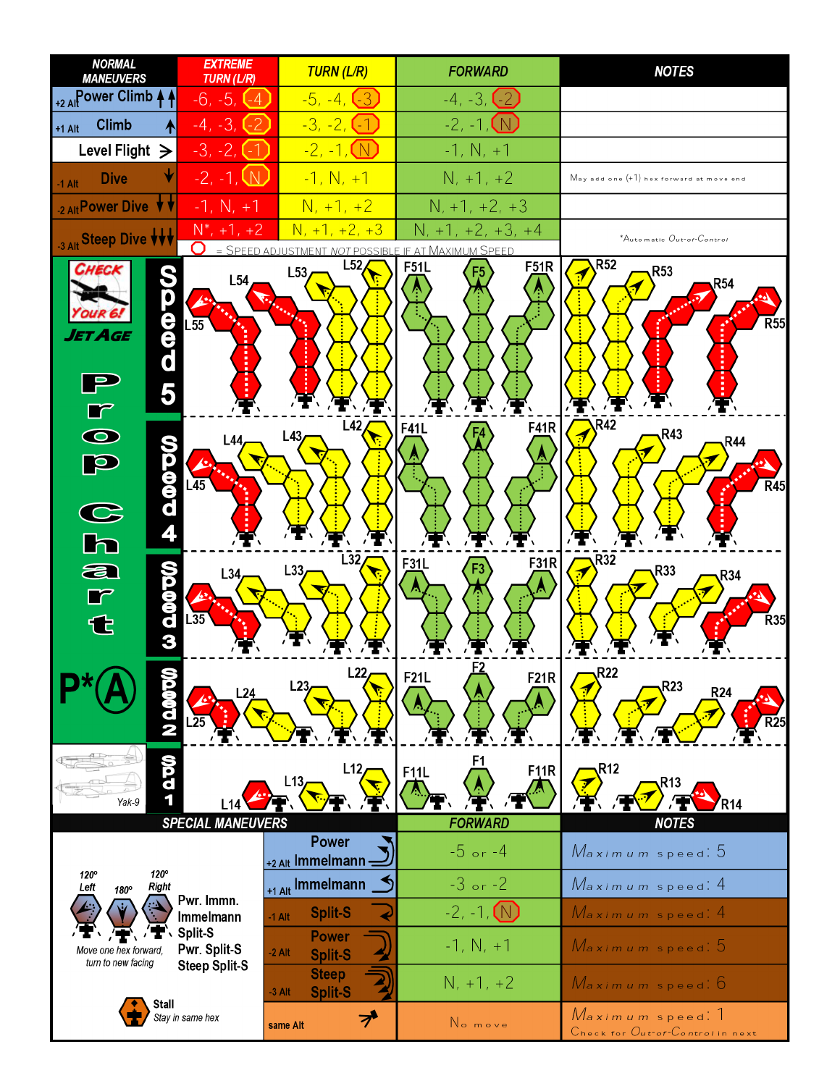| <b>NORMAL</b><br><b>MANEUVERS</b>                                                  | <b>EXTREME</b><br><b>TURN (L/R)</b>       | <b>TURN (L/R)</b>                          | <b>FORWARD</b>                                                | <b>NOTES</b>                                                   |  |  |  |  |  |
|------------------------------------------------------------------------------------|-------------------------------------------|--------------------------------------------|---------------------------------------------------------------|----------------------------------------------------------------|--|--|--|--|--|
| +2 AllPower Climb 4                                                                | -6, -5, 1<br>l - 4                        | $-5, -4, (-3)$                             | $-4, -3, 1$<br>$\rightarrow$                                  |                                                                |  |  |  |  |  |
| <b>Climb</b><br>₳<br>$+1$ Alt                                                      | $-4, -3,$                                 | $-3, -2, -1$                               | $-2, -1,$                                                     |                                                                |  |  |  |  |  |
| Level Flight $\geq$<br>$-3, -2, 1$                                                 |                                           | <u>-2, -1, (N)</u>                         | $-1, N, +1$                                                   |                                                                |  |  |  |  |  |
| <b>Dive</b><br>$-1$ Alt                                                            | $-2, -1, \mathbb{W}$                      | $-1, N, +1$                                | $N, +1, +2$                                                   | $M$ ay add one $(+1)$ hex forward at move end                  |  |  |  |  |  |
| 2 Alt Power Dive $\forall$                                                         | $-1, N, +1$                               | $N, +1, +2$                                | $N, +1, +2, +3$                                               |                                                                |  |  |  |  |  |
| 3 Alt Steep Dive VVV                                                               | $N^*$ , +1, +2                            | $N, +1, +2, +3$                            | N<br>$+2, +3, +4$                                             | *Automatic Out-of-Control                                      |  |  |  |  |  |
| CHECK<br>e<br>d<br>d<br>AGE<br>5                                                   | 0<br>$=$ SPEED<br>L54<br>$L\overline{55}$ | L52<br>L53                                 | NOT POSSIBLE IF AT MAXIMUM SPEED<br>F <sub>51</sub> R<br>F51L | R <sub>52</sub><br>R <sub>53</sub><br><b>R54</b><br><b>R55</b> |  |  |  |  |  |
| $\overline{\bullet}$<br><b>DOOOOO</b><br>H<br>p<br>$\frac{\mathbf{C}}{\mathbf{h}}$ | L44<br>$\overline{45}$                    | L42<br>L43                                 | <b>F41R</b><br>F41L                                           | <b>R42</b><br>R43<br>R44<br>$\overline{R}$ 45                  |  |  |  |  |  |
| က္တစ္စစ္တာ က<br>a<br>$\Box$<br>€                                                   | L34<br>⇙<br>$\overline{.35}$              | L32<br>L33                                 | F31R<br>F31L                                                  | R32<br>R33<br>77<br>R34,<br><b>R35</b>                         |  |  |  |  |  |
| N 0.00                                                                             | L24                                       | L22<br>L23                                 | F21L<br><b>F21R</b>                                           | <b>R22</b><br>R23,<br><b>R24</b>                               |  |  |  |  |  |
| <b>QDD</b><br>Yak-9                                                                |                                           | L12<br>L13,                                | F1<br>F11R<br>F <sub>11</sub> L                               | <b>R12</b><br>R13<br>R14                                       |  |  |  |  |  |
|                                                                                    | <b>SPECIAL MANEUVERS</b>                  | <b>Power</b>                               | <b>FORWARD</b>                                                | <b>NOTES</b>                                                   |  |  |  |  |  |
| 120°<br>$120^\circ$                                                                |                                           | +2 Alt Immelmann -                         | $-5$ or $-4$                                                  | Maximum speed: 5                                               |  |  |  |  |  |
| Right<br>Left<br>180°                                                              | Pwr. Immn.                                | +1 Alt Immelmann                           | $-3$ or $-2$                                                  | Maximum speed: 4                                               |  |  |  |  |  |
|                                                                                    | Immelmann                                 | <b>Split-S</b><br>$-1$ Alt                 | $-2, -1, (N)$                                                 | Maximum speed 4                                                |  |  |  |  |  |
| Move one hex forward,<br>turn to new facing                                        | Split-S<br>Pwr. Split-S                   | <b>Power</b><br>$-2$ Alt<br><b>Split-S</b> | $-1, N, +1$                                                   | Maximum speed 5                                                |  |  |  |  |  |
|                                                                                    | <b>Steep Split-S</b>                      | <b>Steep</b><br><b>Split-S</b><br>$-3$ Alt | $N, +1, +2$                                                   | Maximum speed: 6                                               |  |  |  |  |  |
| Stall                                                                              | Stay in same hex                          | プ<br>same Alt                              | No move                                                       | Maximum speed. 1<br>Check for Out-of-Control in next           |  |  |  |  |  |